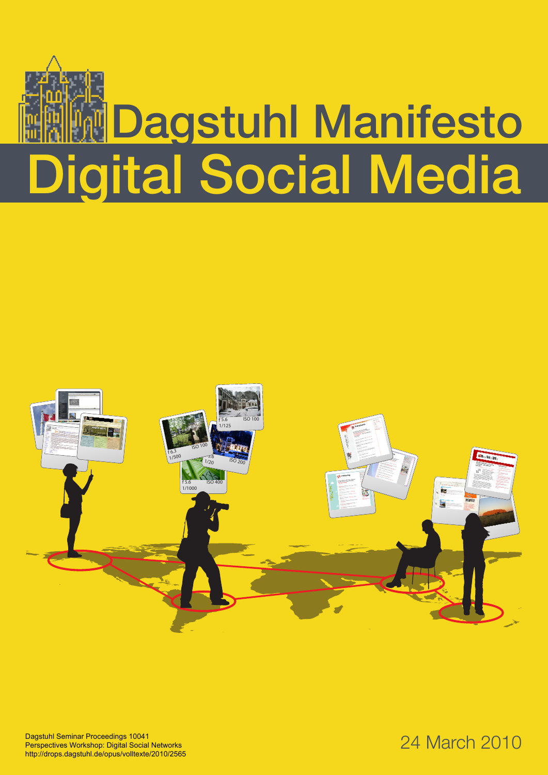



Dagstuhl Seminar Proceedings 10041 Perspectives Workshop: Digital Social Networks http://drops.dagstuhl.de/opus/volltexte/2010/2565

#### 24 March 2010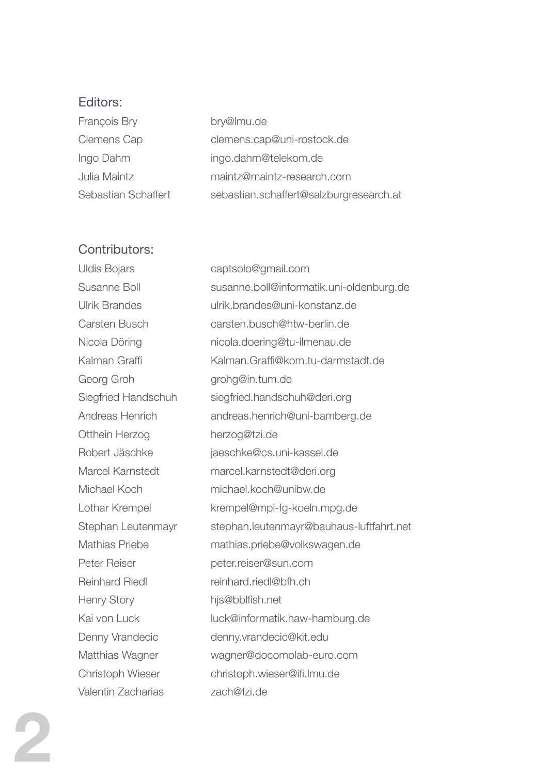#### Editors:

| François Bry        | bry@Imu.de                              |
|---------------------|-----------------------------------------|
| <b>Clemens Cap</b>  | clemens.cap@uni-rostock.de              |
| Ingo Dahm           | ingo.dahm@telekom.de                    |
| Julia Maintz        | maintz@maintz-research.com              |
| Sebastian Schaffert | sebastian.schaffert@salzburgresearch.at |

#### Contributors:

| <b>Uldis Bojars</b>     | captsolo@gmail.com                       |
|-------------------------|------------------------------------------|
| Susanne Boll            | susanne.boll@informatik.uni-oldenburg.de |
| <b>Ulrik Brandes</b>    | ulrik.brandes@uni-konstanz.de            |
| Carsten Busch           | carsten.busch@htw-berlin.de              |
| Nicola Döring           | nicola.doering@tu-ilmenau.de             |
| Kalman Graffi           | Kalman.Graffi@kom.tu-darmstadt.de        |
| Georg Groh              | grohg@in.tum.de                          |
| Siegfried Handschuh     | siegfried.handschuh@deri.org             |
| Andreas Henrich         | andreas.henrich@uni-bamberg.de           |
| Otthein Herzog          | herzog@tzi.de                            |
| Robert Jäschke          | jaeschke@cs.uni-kassel.de                |
| <b>Marcel Karnstedt</b> | marcel.karnstedt@deri.org                |
| Michael Koch            | michael.koch@unibw.de                    |
| Lothar Krempel          | krempel@mpi-fg-koeln.mpg.de              |
| Stephan Leutenmayr      | stephan.leutenmayr@bauhaus-luftfahrt.net |
| <b>Mathias Priebe</b>   | mathias.priebe@volkswagen.de             |
| Peter Reiser            | peter.reiser@sun.com                     |
| <b>Reinhard Riedl</b>   | reinhard.riedl@bfh.ch                    |
| <b>Henry Story</b>      | hjs@bblfish.net                          |
| Kai von Luck            | luck@informatik.haw-hamburg.de           |
| Denny Vrandecic         | denny.vrandecic@kit.edu                  |
| Matthias Wagner         | wagner@docomolab-euro.com                |
| Christoph Wieser        | christoph.wieser@ifi.lmu.de              |
| Valentin Zacharias      | zach@fzi.de                              |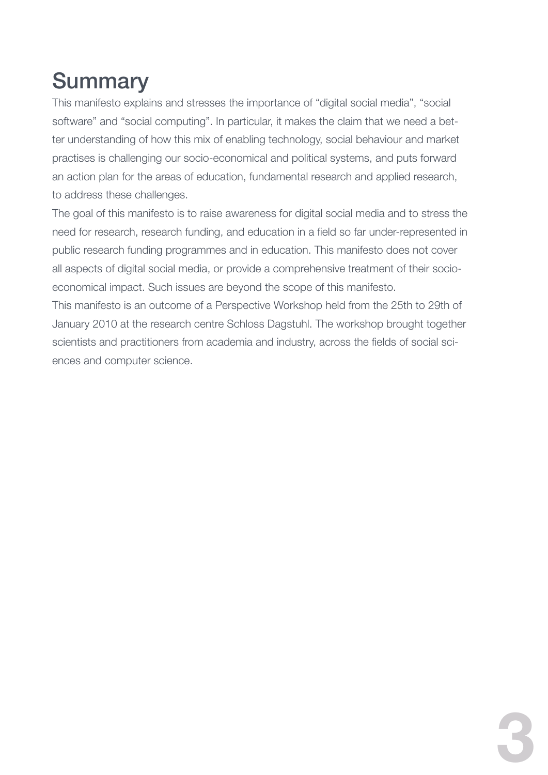# **Summary**

This manifesto explains and stresses the importance of "digital social media", "social software" and "social computing". In particular, it makes the claim that we need a better understanding of how this mix of enabling technology, social behaviour and market practises is challenging our socio-economical and political systems, and puts forward an action plan for the areas of education, fundamental research and applied research, to address these challenges.

The goal of this manifesto is to raise awareness for digital social media and to stress the need for research, research funding, and education in a field so far under-represented in public research funding programmes and in education. This manifesto does not cover all aspects of digital social media, or provide a comprehensive treatment of their socioeconomical impact. Such issues are beyond the scope of this manifesto.

This manifesto is an outcome of a Perspective Workshop held from the 25th to 29th of January 2010 at the research centre Schloss Dagstuhl. The workshop brought together scientists and practitioners from academia and industry, across the fields of social sciences and computer science.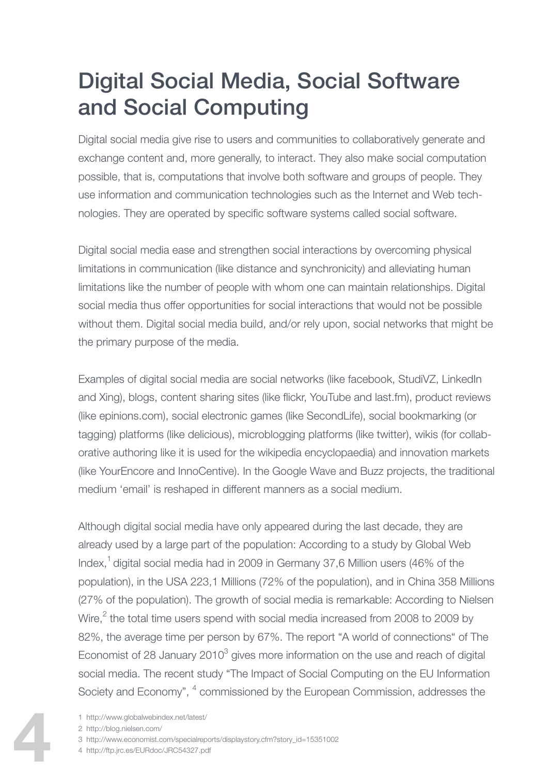# Digital Social Media, Social Software and Social Computing

Digital social media give rise to users and communities to collaboratively generate and exchange content and, more generally, to interact. They also make social computation possible, that is, computations that involve both software and groups of people. They use information and communication technologies such as the Internet and Web technologies. They are operated by specific software systems called social software.

Digital social media ease and strengthen social interactions by overcoming physical limitations in communication (like distance and synchronicity) and alleviating human limitations like the number of people with whom one can maintain relationships. Digital social media thus offer opportunities for social interactions that would not be possible without them. Digital social media build, and/or rely upon, social networks that might be the primary purpose of the media.

Examples of digital social media are social networks (like facebook, StudiVZ, LinkedIn and Xing), blogs, content sharing sites (like flickr, YouTube and last.fm), product reviews (like epinions.com), social electronic games (like SecondLife), social bookmarking (or tagging) platforms (like delicious), microblogging platforms (like twitter), wikis (for collaborative authoring like it is used for the wikipedia encyclopaedia) and innovation markets (like YourEncore and InnoCentive). In the Google Wave and Buzz projects, the traditional medium 'email' is reshaped in different manners as a social medium.

Although digital social media have only appeared during the last decade, they are already used by a large part of the population: According to a study by Global Web Index, $1$  digital social media had in 2009 in Germany 37,6 Million users (46% of the population), in the USA 223,1 Millions (72% of the population), and in China 358 Millions (27% of the population). The growth of social media is remarkable: According to Nielsen Wire, $^2$  the total time users spend with social media increased from 2008 to 2009 by 82%, the average time per person by 67%. The report "A world of connections" of The Economist of 28 January 2010 $^3$  gives more information on the use and reach of digital social media. The recent study "The Impact of Social Computing on the EU Information Society and Economy", <sup>4</sup> commissioned by the European Commission, addresses the

- 1 http://www.globalwebindex.net/latest/
- 2 http://blog.nielsen.com/

- 3 http://www.economist.com/specialreports/displaystory.cfm?story\_id=15351002
- 4 http://ftp.jrc.es/EURdoc/JRC54327.pdf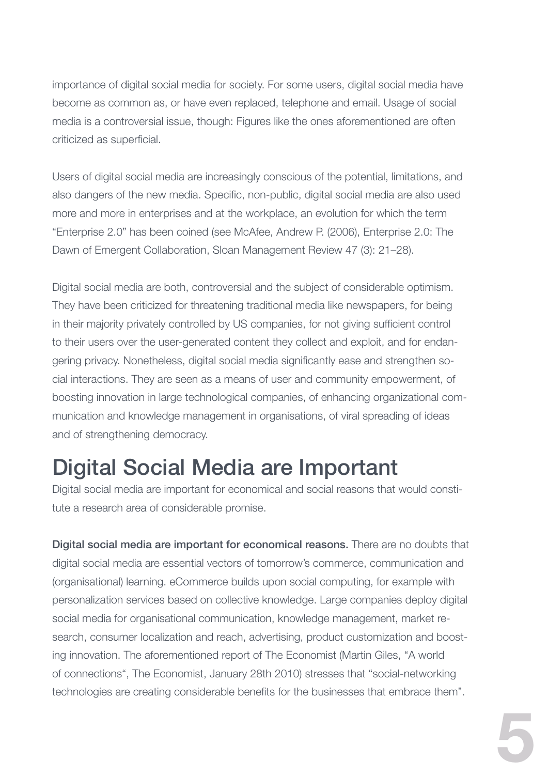importance of digital social media for society. For some users, digital social media have become as common as, or have even replaced, telephone and email. Usage of social media is a controversial issue, though: Figures like the ones aforementioned are often criticized as superficial.

Users of digital social media are increasingly conscious of the potential, limitations, and also dangers of the new media. Specific, non-public, digital social media are also used more and more in enterprises and at the workplace, an evolution for which the term "Enterprise 2.0" has been coined (see McAfee, Andrew P. (2006), Enterprise 2.0: The Dawn of Emergent Collaboration, Sloan Management Review 47 (3): 21–28).

Digital social media are both, controversial and the subject of considerable optimism. They have been criticized for threatening traditional media like newspapers, for being in their majority privately controlled by US companies, for not giving sufficient control to their users over the user-generated content they collect and exploit, and for endangering privacy. Nonetheless, digital social media significantly ease and strengthen social interactions. They are seen as a means of user and community empowerment, of boosting innovation in large technological companies, of enhancing organizational communication and knowledge management in organisations, of viral spreading of ideas and of strengthening democracy.

## Digital Social Media are Important

Digital social media are important for economical and social reasons that would constitute a research area of considerable promise.

Digital social media are important for economical reasons. There are no doubts that digital social media are essential vectors of tomorrow's commerce, communication and (organisational) learning. eCommerce builds upon social computing, for example with personalization services based on collective knowledge. Large companies deploy digital social media for organisational communication, knowledge management, market research, consumer localization and reach, advertising, product customization and boosting innovation. The aforementioned report of The Economist (Martin Giles, "A world of connections", The Economist, January 28th 2010) stresses that "social-networking technologies are creating considerable benefits for the businesses that embrace them".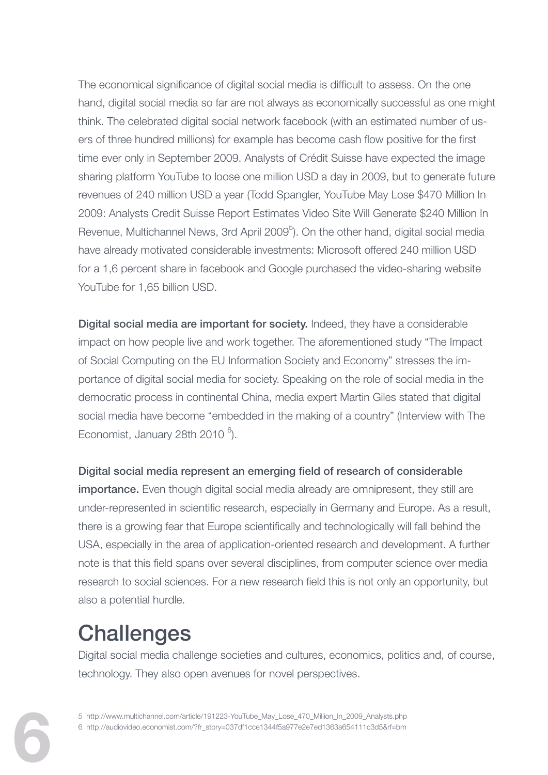The economical significance of digital social media is difficult to assess. On the one hand, digital social media so far are not always as economically successful as one might think. The celebrated digital social network facebook (with an estimated number of users of three hundred millions) for example has become cash flow positive for the first time ever only in September 2009. Analysts of Crédit Suisse have expected the image sharing platform YouTube to loose one million USD a day in 2009, but to generate future revenues of 240 million USD a year (Todd Spangler, YouTube May Lose \$470 Million In 2009: Analysts Credit Suisse Report Estimates Video Site Will Generate \$240 Million In Revenue, Multichannel News, 3rd April 2009<sup>5</sup>). On the other hand, digital social media have already motivated considerable investments: Microsoft offered 240 million USD for a 1,6 percent share in facebook and Google purchased the video-sharing website YouTube for 1,65 billion USD.

Digital social media are important for society. Indeed, they have a considerable impact on how people live and work together. The aforementioned study "The Impact of Social Computing on the EU Information Society and Economy" stresses the importance of digital social media for society. Speaking on the role of social media in the democratic process in continental China, media expert Martin Giles stated that digital social media have become "embedded in the making of a country" (Interview with The Economist, January 28th 2010 $^6$ ).

Digital social media represent an emerging field of research of considerable

importance. Even though digital social media already are omnipresent, they still are under-represented in scientific research, especially in Germany and Europe. As a result, there is a growing fear that Europe scientifically and technologically will fall behind the USA, especially in the area of application-oriented research and development. A further note is that this field spans over several disciplines, from computer science over media research to social sciences. For a new research field this is not only an opportunity, but also a potential hurdle.

### **Challenges**

Digital social media challenge societies and cultures, economics, politics and, of course, technology. They also open avenues for novel perspectives.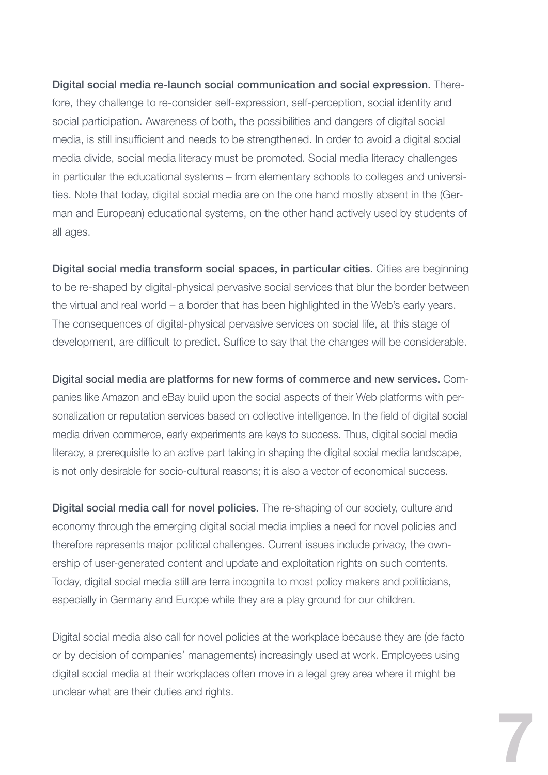Digital social media re-launch social communication and social expression. Therefore, they challenge to re-consider self-expression, self-perception, social identity and social participation. Awareness of both, the possibilities and dangers of digital social media, is still insufficient and needs to be strengthened. In order to avoid a digital social media divide, social media literacy must be promoted. Social media literacy challenges in particular the educational systems – from elementary schools to colleges and universities. Note that today, digital social media are on the one hand mostly absent in the (German and European) educational systems, on the other hand actively used by students of all ages.

Digital social media transform social spaces, in particular cities. Cities are beginning to be re-shaped by digital-physical pervasive social services that blur the border between the virtual and real world – a border that has been highlighted in the Web's early years. The consequences of digital-physical pervasive services on social life, at this stage of development, are difficult to predict. Suffice to say that the changes will be considerable.

Digital social media are platforms for new forms of commerce and new services. Companies like Amazon and eBay build upon the social aspects of their Web platforms with personalization or reputation services based on collective intelligence. In the field of digital social media driven commerce, early experiments are keys to success. Thus, digital social media literacy, a prerequisite to an active part taking in shaping the digital social media landscape, is not only desirable for socio-cultural reasons; it is also a vector of economical success.

Digital social media call for novel policies. The re-shaping of our society, culture and economy through the emerging digital social media implies a need for novel policies and therefore represents major political challenges. Current issues include privacy, the ownership of user-generated content and update and exploitation rights on such contents. Today, digital social media still are terra incognita to most policy makers and politicians, especially in Germany and Europe while they are a play ground for our children.

Digital social media also call for novel policies at the workplace because they are (de facto or by decision of companies' managements) increasingly used at work. Employees using digital social media at their workplaces often move in a legal grey area where it might be unclear what are their duties and rights.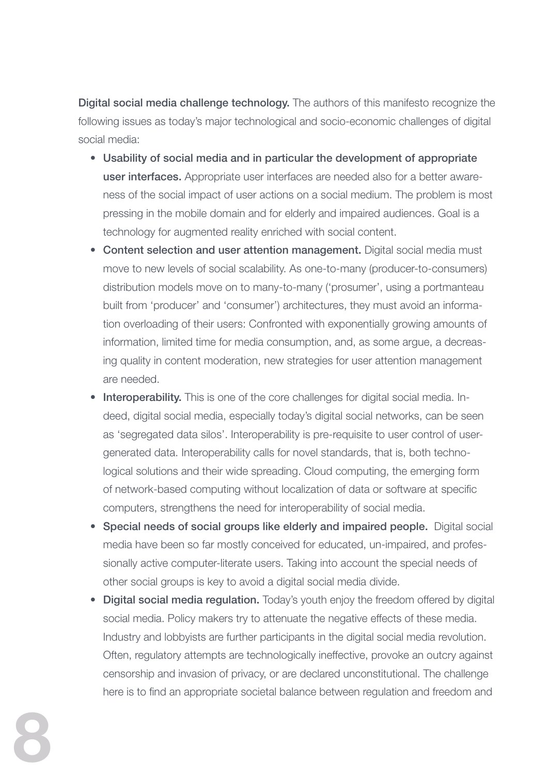**Digital social media challenge technology.** The authors of this manifesto recognize the following issues as today's major technological and socio-economic challenges of digital social media:

- Usability of social media and in particular the development of appropriate user interfaces. Appropriate user interfaces are needed also for a better awareness of the social impact of user actions on a social medium. The problem is most pressing in the mobile domain and for elderly and impaired audiences. Goal is a technology for augmented reality enriched with social content.
- Content selection and user attention management. Digital social media must move to new levels of social scalability. As one-to-many (producer-to-consumers) distribution models move on to many-to-many ('prosumer', using a portmanteau built from 'producer' and 'consumer') architectures, they must avoid an information overloading of their users: Confronted with exponentially growing amounts of information, limited time for media consumption, and, as some argue, a decreasing quality in content moderation, new strategies for user attention management are needed.
- Interoperability. This is one of the core challenges for digital social media. Indeed, digital social media, especially today's digital social networks, can be seen as 'segregated data silos'. Interoperability is pre-requisite to user control of usergenerated data. Interoperability calls for novel standards, that is, both technological solutions and their wide spreading. Cloud computing, the emerging form of network-based computing without localization of data or software at specific computers, strengthens the need for interoperability of social media.
- Special needs of social groups like elderly and impaired people. Digital social media have been so far mostly conceived for educated, un-impaired, and professionally active computer-literate users. Taking into account the special needs of other social groups is key to avoid a digital social media divide.
- Digital social media regulation. Today's youth enjoy the freedom offered by digital social media. Policy makers try to attenuate the negative effects of these media. Industry and lobbyists are further participants in the digital social media revolution. Often, regulatory attempts are technologically ineffective, provoke an outcry against censorship and invasion of privacy, or are declared unconstitutional. The challenge here is to find an appropriate societal balance between regulation and freedom and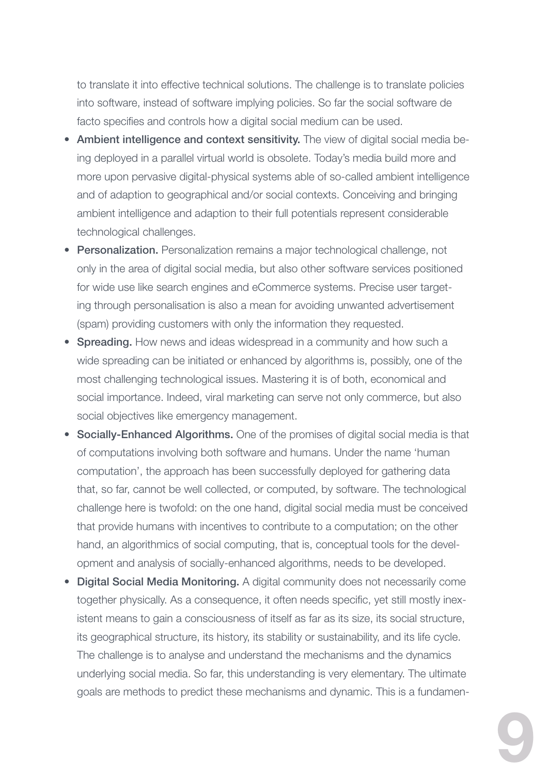to translate it into effective technical solutions. The challenge is to translate policies into software, instead of software implying policies. So far the social software de facto specifies and controls how a digital social medium can be used.

- Ambient intelligence and context sensitivity. The view of digital social media being deployed in a parallel virtual world is obsolete. Today's media build more and more upon pervasive digital-physical systems able of so-called ambient intelligence and of adaption to geographical and/or social contexts. Conceiving and bringing ambient intelligence and adaption to their full potentials represent considerable technological challenges.
- Personalization. Personalization remains a major technological challenge, not only in the area of digital social media, but also other software services positioned for wide use like search engines and eCommerce systems. Precise user targeting through personalisation is also a mean for avoiding unwanted advertisement (spam) providing customers with only the information they requested.
- Spreading. How news and ideas widespread in a community and how such a wide spreading can be initiated or enhanced by algorithms is, possibly, one of the most challenging technological issues. Mastering it is of both, economical and social importance. Indeed, viral marketing can serve not only commerce, but also social objectives like emergency management.
- Socially-Enhanced Algorithms. One of the promises of digital social media is that of computations involving both software and humans. Under the name 'human computation', the approach has been successfully deployed for gathering data that, so far, cannot be well collected, or computed, by software. The technological challenge here is twofold: on the one hand, digital social media must be conceived that provide humans with incentives to contribute to a computation; on the other hand, an algorithmics of social computing, that is, conceptual tools for the development and analysis of socially-enhanced algorithms, needs to be developed.
- Digital Social Media Monitoring. A digital community does not necessarily come together physically. As a consequence, it often needs specific, yet still mostly inexistent means to gain a consciousness of itself as far as its size, its social structure, its geographical structure, its history, its stability or sustainability, and its life cycle. The challenge is to analyse and understand the mechanisms and the dynamics underlying social media. So far, this understanding is very elementary. The ultimate goals are methods to predict these mechanisms and dynamic. This is a fundamen-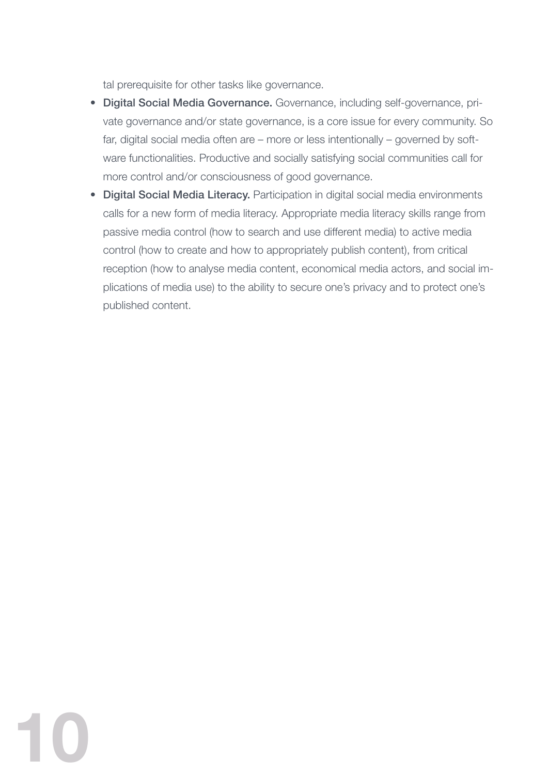tal prerequisite for other tasks like governance.

- Digital Social Media Governance. Governance, including self-governance, private governance and/or state governance, is a core issue for every community. So far, digital social media often are – more or less intentionally – governed by software functionalities. Productive and socially satisfying social communities call for more control and/or consciousness of good governance.
- Digital Social Media Literacy. Participation in digital social media environments calls for a new form of media literacy. Appropriate media literacy skills range from passive media control (how to search and use different media) to active media control (how to create and how to appropriately publish content), from critical reception (how to analyse media content, economical media actors, and social implications of media use) to the ability to secure one's privacy and to protect one's published content.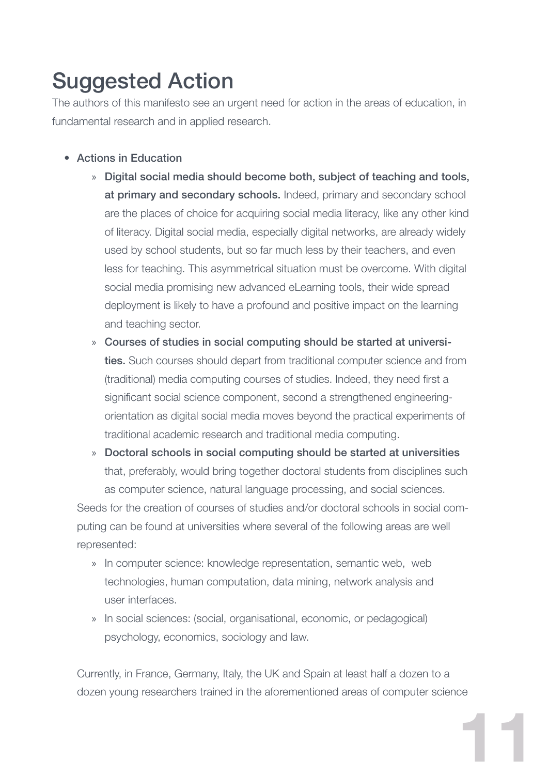# Suggested Action

The authors of this manifesto see an urgent need for action in the areas of education, in fundamental research and in applied research.

- Actions in Education
	- » Digital social media should become both, subject of teaching and tools, at primary and secondary schools. Indeed, primary and secondary school are the places of choice for acquiring social media literacy, like any other kind of literacy. Digital social media, especially digital networks, are already widely used by school students, but so far much less by their teachers, and even less for teaching. This asymmetrical situation must be overcome. With digital social media promising new advanced eLearning tools, their wide spread deployment is likely to have a profound and positive impact on the learning and teaching sector.
	- » Courses of studies in social computing should be started at universities. Such courses should depart from traditional computer science and from (traditional) media computing courses of studies. Indeed, they need first a significant social science component, second a strengthened engineeringorientation as digital social media moves beyond the practical experiments of traditional academic research and traditional media computing.
	- » Doctoral schools in social computing should be started at universities that, preferably, would bring together doctoral students from disciplines such as computer science, natural language processing, and social sciences.

Seeds for the creation of courses of studies and/or doctoral schools in social computing can be found at universities where several of the following areas are well represented:

- » In computer science: knowledge representation, semantic web, web technologies, human computation, data mining, network analysis and user interfaces.
- » In social sciences: (social, organisational, economic, or pedagogical) psychology, economics, sociology and law.

Currently, in France, Germany, Italy, the UK and Spain at least half a dozen to a dozen young researchers trained in the aforementioned areas of computer science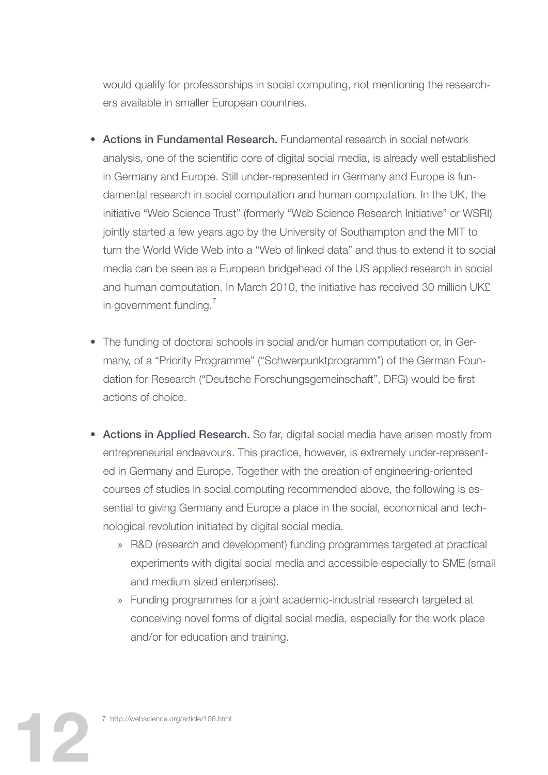would qualify for professorships in social computing, not mentioning the researchers available in smaller European countries.

- Actions in Fundamental Research. Fundamental research in social network analysis, one of the scientific core of digital social media, is already well established in Germany and Europe. Still under-represented in Germany and Europe is fundamental research in social computation and human computation. In the UK, the initiative "Web Science Trust" (formerly "Web Science Research Initiative" or WSRI) jointly started a few years ago by the University of Southampton and the MIT to turn the World Wide Web into a "Web of linked data" and thus to extend it to social media can be seen as a European bridgehead of the US applied research in social and human computation. In March 2010, the initiative has received 30 million UK£ in government funding.
- The funding of doctoral schools in social and/or human computation or, in Germany, of a "Priority Programme" ("Schwerpunktprogramm") of the German Foundation for Research ("Deutsche Forschungsgemeinschaft", DFG) would be first actions of choice.
- Actions in Applied Research. So far, digital social media have arisen mostly from entrepreneurial endeavours. This practice, however, is extremely under-represented in Germany and Europe. Together with the creation of engineering-oriented courses of studies in social computing recommended above, the following is essential to giving Germany and Europe a place in the social, economical and technological revolution initiated by digital social media.
	- » R&D (research and development) funding programmes targeted at practical experiments with digital social media and accessible especially to SME (small and medium sized enterprises).
	- » Funding programmes for a joint academic-industrial research targeted at conceiving novel forms of digital social media, especially for the work place and/or for education and training.